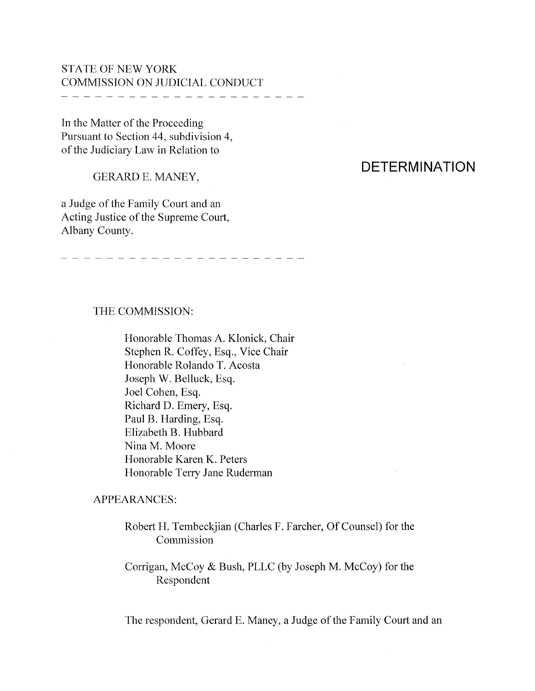## STATE OF NEW YORK COMMISSION ON JUDICIAL CONDUCT

.<br>The component came some space point with even more short more more with two states with more more compo compo more

In the Matter of the Proceeding Pursuant to Section 44, subdivision 4, of the Judiciary Law in Relation to

GERARD E. MANEY,

a Judge of the Family Court and an Acting Justice of the Supreme Court, Albany County.

# **DETERMINATION**

#### THE COMMISSION:

Honorable Thomas A. Klonick, Chair Stephen R. Coffey, Esq., Vice Chair Honorable Rolando T. Acosta Joseph W. Belluck, Esq. Joel Cohen, Esq. Richard D. Emery, Esq. Paul B. Harding, Esq. Elizabeth B. Hubbard Nina M. Moore Honorable Karen K. Peters Honorable Terry Jane Ruderman

#### APPEARANCES:

Robert H. Tembeckjian (Charles F. Farcher, Of Counsel) for the Commission

Corrigan, McCoy & Bush, PLLC (by Joseph M. McCoy) for the Respondent

The respondent, Gerard E. Maney, a Judge of the Family Court and an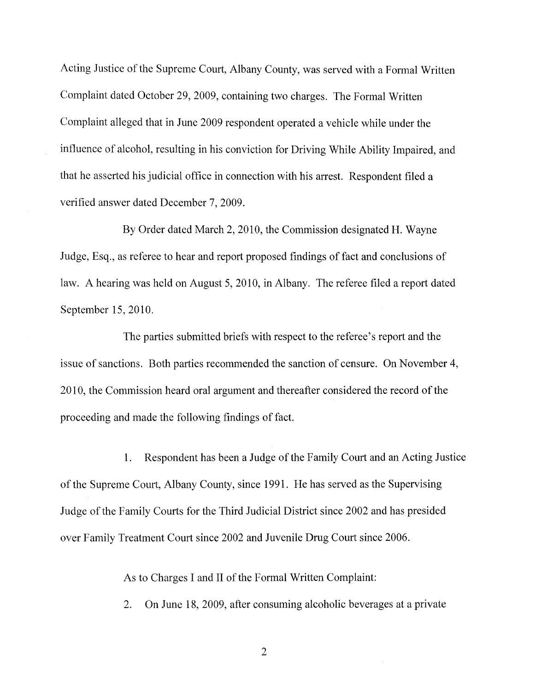Acting Justice of the Supreme Court, Albany County, was served with a Formal Written Complaint dated October 29, 2009, containing two charges. The Formal Written Complaint alleged that in June 2009 respondent operated a vehicle while under the influence of alcohol, resulting in his conviction for Driving While Ability Impaired, and that he asserted his judicial office in connection with his arrest. Respondent filed a verified answer dated December 7, 2009.

By Order dated March 2, 2010, the Commission designated H. Wayne Judge, Esq., as referee to hear and report proposed findings of fact and conclusions of law. A hearing was held on August 5,2010, in Albany. The referee filed a report dated September 15,2010.

The parties submitted briefs with respect to the referee's report and the issue of sanctions. Both parties recommended the sanction of censure. On November 4, 2010, the Commission heard oral argument and thereafter considered the record of the proceeding and made the following findings of fact.

1. Respondent has been a Judge of the Family Court and an Acting Justice of the Supreme Court, Albany County, since 1991. He has served as the Supervising Judge of the Family Courts for the Third Judicial District since 2002 and has presided over Family Treatment Court since 2002 and Juvenile Drug Court since 2006.

As to Charges I and II of the Formal Written Complaint:

2. On June 18, 2009, after consuming alcoholic beverages at a private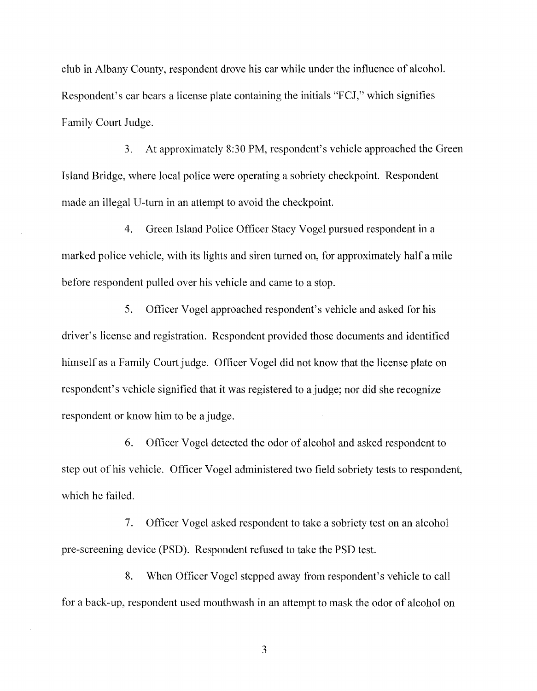club in Albany County, respondent drove his car while under the influence of alcohol. Respondent's car bears a license plate containing the initials "FCJ," which signifies Family Court Judge.

3. At approximately 8:30 PM, respondent's vehicle approached the Green Island Bridge, where local police were operating a sobriety checkpoint. Respondent made an illegal U-turn in an attempt to avoid the checkpoint.

4. Green Island Police Officer Stacy Vogel pursued respondent in a marked police vehicle, with its lights and siren turned on, for approximately half a mile before respondent pulled over his vehicle and came to a stop.

S. Officer Vogel approached respondent's vehicle and asked for his driver's license and registration. Respondent provided those documents and identified himself as a Family Court judge. Officer Vogel did not know that the license plate on respondent's vehicle signified that it was registered to a judge; nor did she recognize respondent or know him to be a judge.

6. Officer Vogel detected the odor of alcohol and asked respondent to step out of his vehicle. Officer Vogel administered two field sobriety tests to respondent, which he failed.

7. Officer Vogel asked respondent to take a sobriety test on an alcohol pre-screening device (PSD). Respondent refused to take the PSD test.

8. When Officer Vogel stepped away from respondent's vehicle to call for a back-up, respondent used mouthwash in an attempt to mask the odor of alcohol on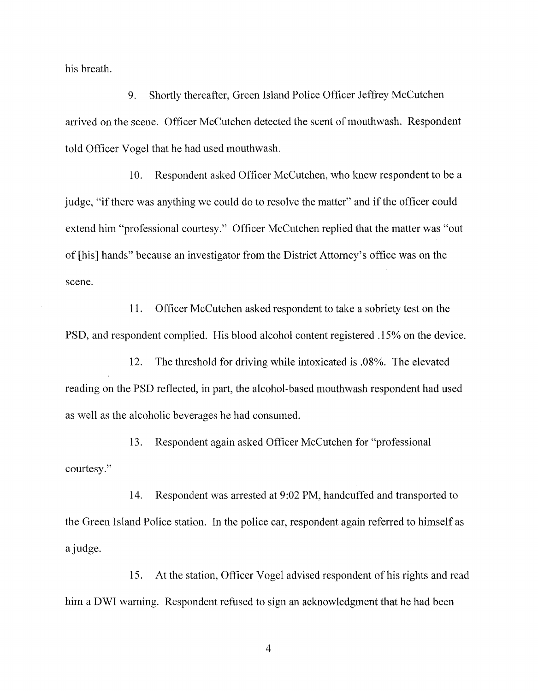his breath.

9. Shortly thereafter, Green Island Police Officer Jeffrey McCutchen arrived on the scene. Officer McCutchen detected the scent of mouthwash. Respondent told Officer Vogel that he had used mouthwash.

10. Respondent asked Officer McCutchen, who knew respondent to be a judge, "if there was anything we could do to resolve the matter" and if the officer could extend him "professional courtesy." Officer McCutchen replied that the matter was "out of [his] hands" because an investigator from the District Attorney's office was on the scene.

11. Officer McCutchen asked respondent to take a sobriety test on the PSD, and respondent complied. His blood alcohol content registered .15% on the device.

12. The threshold for driving while intoxicated is .08%. The elevated reading on the PSD reflected, in part, the alcohol-based mouthwash respondent had used as well as the alcoholic beverages he had consumed.

13. Respondent again asked Officer McCutchen for "professional courtesy."

14. Respondent was arrested at 9:02 PM, handcuffed and transported to the Green Island Police station. In the police car, respondent again referred to himself as ajudge.

15. At the station, Officer Vogel advised respondent of his rights and read him a DWI warning. Respondent refused to sign an acknowledgment that he had been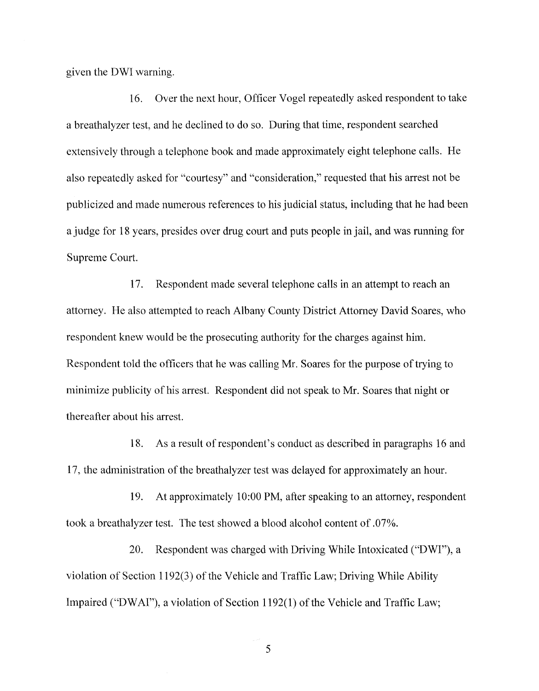given the DWI warning.

16. Over the next hour, Officer Vogel repeatedly asked respondent to take a breathalyzer test, and he declined to do so. During that time, respondent searched extensively through a telephone book and made approximately eight telephone calls. He also repeatedly asked for "courtesy" and "consideration," requested that his arrest not be publicized and made numerous references to his judicial status, including that he had been a judge for 18 years, presides over drug court and puts people in jail, and was running for Supreme Court.

17. Respondent made several telephone calls in an attempt to reach an attorney. He also attempted to reach Albany County District Attorney David Soares, who respondent knew would be the prosecuting authority for the charges against him. Respondent told the officers that he was calling Mr. Soares for the purpose of trying to minimize publicity of his arrest. Respondent did not speak to Mr. Soares that night or thereafter about his arrest.

18. As a result ofrespondent's conduct as described in paragraphs 16 and 17, the administration of the breathalyzer test was delayed for approximately an hour.

19. At approximately 10:00 PM, after speaking to an attorney, respondent took a breathalyzer test. The test showed a blood alcohol content of .07%.

20. Respondent was charged with Driving While Intoxicated ("DWI"), a violation of Section 1192(3) of the Vehicle and Traffic Law; Driving While Ability Impaired ("DWAI"), a violation of Section 1192(1) of the Vehicle and Traffic Law;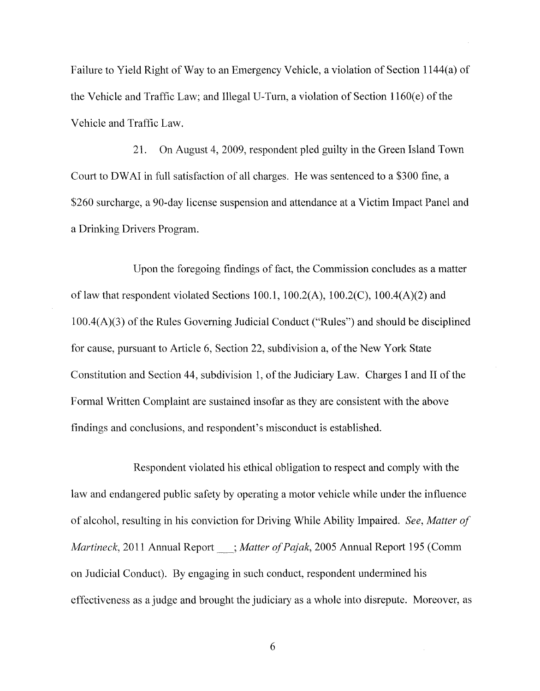Failure to Yield Right of Way to an Emergency Vehicle, a violation of Section l144(a) of the Vehicle and Traffic Law; and Illegal U-Turn, a violation of Section  $1160(e)$  of the Vehicle and Traffic Law.

21. On August 4, 2009, respondent pled guilty in the Green Island Town Court to DWAI in full satisfaction of all charges. He was sentenced to a \$300 fine, a \$260 surcharge, a 90-day license suspension and attendance at a Victim Impact Panel and a Drinking Drivers Program.

Upon the foregoing findings of fact, the Commission concludes as a matter of law that respondent violated Sections 100.1, 100.2(A), 100.2(C), 100.4(A)(2) and  $100.4(A)(3)$  of the Rules Governing Judicial Conduct ("Rules") and should be disciplined for cause, pursuant to Article 6, Section 22, subdivision a, of the New York State Constitution and Section 44, subdivision 1, of the Judiciary Law. Charges I and II of the Formal Written Complaint are sustained insofar as they are consistent with the above findings and conclusions, and respondent's misconduct is established.

Respondent violated his ethical obligation to respect and comply with the law and endangered public safety by operating a motor vehicle while under the influence of alcohol, resulting in his conviction for Driving While Ability Impaired. *See, Matter of Martineck,* 2011 Annual Report  $\therefore$  *Matter of Pajak,* 2005 Annual Report 195 (Comm on Judicial Conduct). By engaging in such conduct, respondent undermined his effectiveness as a judge and brought the judiciary as a whole into disrepute. Moreover, as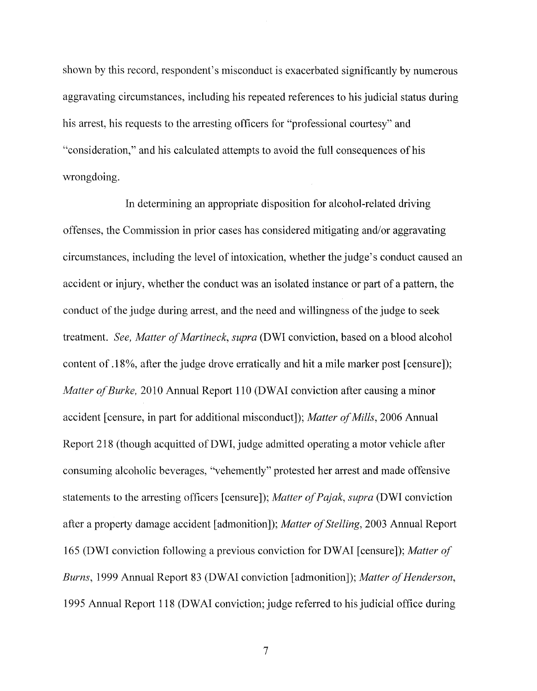shown by this record, respondent's misconduct is exacerbated significantly by numerous aggravating circumstances, including his repeated references to his judicial status during his arrest, his requests to the arresting officers for "professional courtesy" and "consideration," and his calculated attempts to avoid the full consequences of his wrongdoing.

In determining an appropriate disposition for alcohol-related driving offenses, the Commission in prior cases has considered mitigating and/or aggravating circumstances, including the level of intoxication, whether the judge's conduct caused an accident or injury, whether the conduct was an isolated instance or part of a pattern, the conduct of the judge during arrest, and the need and willingness of the judge to seek treatment. *See, Matter of Martineck, supra* (DWI conviction, based on a blood alcohol content of .18%, after the judge drove erratically and hit a mile marker post [censure]); *Matter of Burke,* 2010 Annual Report 110 (DWAI conviction after causing a minor accident [censure, in part for additional misconduct]); *Matter of Mills*, 2006 Annual Report 218 (though acquitted of DWI, judge admitted operating a motor vehicle after consuming alcoholic beverages, "vehemently" protested her arrest and made offensive statements to the arresting officers [censure]); *Matter of Pajak, supra* (DWI conviction after a property damage accident [admonition]); *Matter of Stelling*, 2003 Annual Report 165 (DWI conviction following a previous conviction for DWAI [censure]); *Matter of Burns,* 1999 Annual Report 83 (DWAI conviction [admonition]); *Matter of Henderson,* 1995 Annual Report 118 (DWAI conviction; judge referred to his judicial office during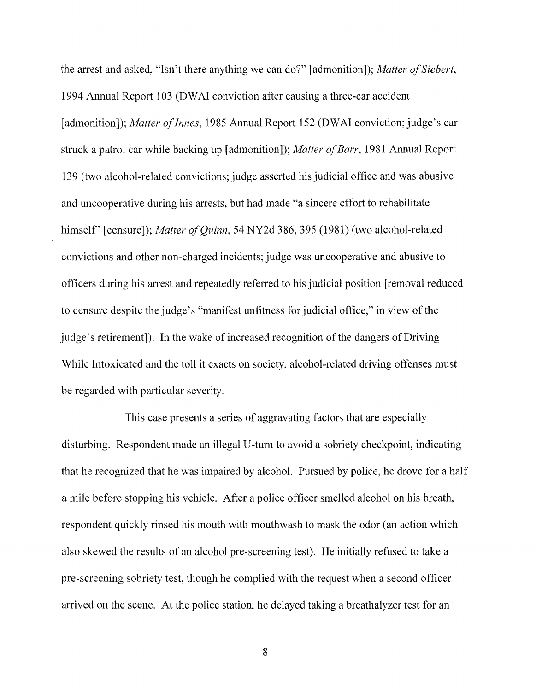the arrest and asked, "Isn't there anything we can do?" [admonition]); *Matter of Siebert*, 1994 Annual Report 103 (DWAI conviction after causing a three-car accident [admonition]); *Matter of Innes*, 1985 Annual Report 152 (DWAI conviction; judge's car struck a patrol car while backing up [admonition]); *Matter of Barr*, 1981 Annual Report 139 (two alcohol-related convictions; judge asserted his judicial office and was abusive and uncooperative during his arrests, but had made "a sincere effort to rehabilitate himself" [censure]); *Matter of Quinn*, 54 NY2d 386, 395 (1981) (two alcohol-related convictions and other non-charged incidents; judge was uncooperative and abusive to officers during his arrest and repeatedly referred to his judicial position [removal reduced to censure despite the judge's "manifest unfitness for judicial office," in view of the judge's retirement]). In the wake of increased recognition of the dangers of Driving While Intoxicated and the toll it exacts on society, alcohol-related driving offenses must be regarded with particular severity.

This case presents a series of aggravating factors that are especially disturbing. Respondent made an illegal U-turn to avoid a sobriety checkpoint, indicating that he recognized that he was impaired by alcohol. Pursued by police, he drove for a half a mile before stopping his vehicle. After a police officer smelled alcohol on his breath, respondent quickly rinsed his mouth with mouthwash to mask the odor (an action which also skewed the results of an alcohol pre-screening test). He initially refused to take a pre-screening sobriety test, though he complied with the request when a second officer arrived on the scene. At the police station, he delayed taking a breathalyzer test for an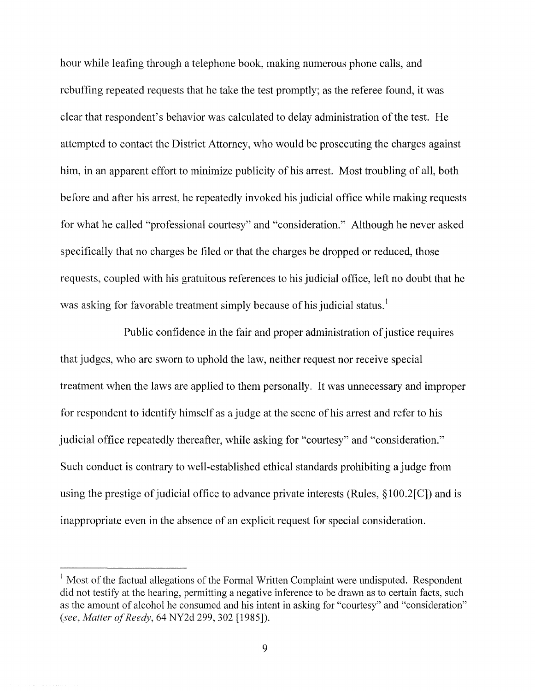hour while leafing through a telephone book, making numerous phone calls, and rebuffing repeated requests that he take the test promptly; as the referee found, it was clear that respondent's behavior was calculated to delay administration of the test. He attempted to contact the District Attorney, who would be prosecuting the charges against him, in an apparent effort to minimize publicity of his arrest. Most troubling of all, both before and after his arrest, he repeatedly invoked his judicial office while making requests for what he called "professional courtesy" and "consideration." Although he never asked specifically that no charges be filed or that the charges be dropped or reduced, those requests, coupled with his gratuitous references to his judicial office, left no doubt that he was asking for favorable treatment simply because of his judicial status.<sup>1</sup>

Public confidence in the fair and proper administration of justice requires that judges, who are sworn to uphold the law, neither request nor receive special treatment when the laws are applied to them personally. It was unnecessary and improper for respondent to identify himself as a judge at the scene of his arrest and refer to his judicial office repeatedly thereafter, while asking for "courtesy" and "consideration." Such conduct is contrary to well-established ethical standards prohibiting a judge from using the prestige of judicial office to advance private interests (Rules,  $\S100.2\text{[C]}$ ) and is inappropriate even in the absence of an explicit request for special consideration.

 $<sup>1</sup>$  Most of the factual allegations of the Formal Written Complaint were undisputed. Respondent</sup> did not testify at the hearing, permitting a negative inference to be drawn as to certain facts, such as the amount of alcohol he consumed and his intent in asking for "courtesy" and "consideration" *(see, Matter of Reedy, 64 NY2d 299, 302 [1985]).*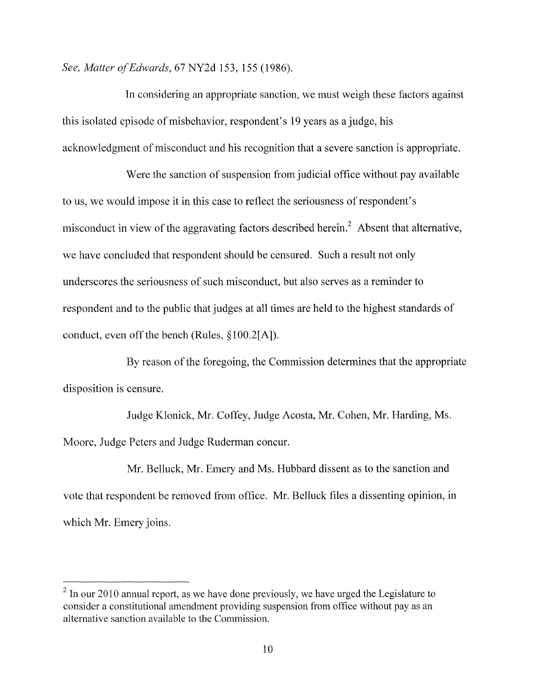*See, Matter afEdwards,* 67 NY2d 153,155 (1986).

In considering an appropriate sanction, we must weigh these factors against this isolated episode of misbehavior, respondent's 19 years as a judge, his acknowledgment of misconduct and his recognition that a severe sanction is appropriate.

Were the sanction of suspension from judicial office without pay available to us, we would impose it in this case to reflect the seriousness of respondent's misconduct in view of the aggravating factors described herein.<sup>2</sup> Absent that alternative, we have concluded that respondent should be censured. Such a result not only underscores the seriousness of such misconduct, but also serves as a reminder to respondent and to the public that judges at all times are held to the highest standards of conduct, even off the bench (Rules,  $\S 100.2[A]$ ).

By reason of the foregoing, the Commission determines that the appropriate disposition is censure.

Judge Klonick, Mr. Coffey, Judge Acosta, Mr. Cohen, Mr. Harding, Ms. Moore, Judge Peters and Judge Ruderman concur.

Mr. Belluck, Mr. Emery and Ms. Hubbard dissent as to the sanction and vote that respondent be removed from office. Mr. Belluck files a dissenting opinion, in which Mr. Emery joins.

 $2 \text{ In our } 2010$  annual report, as we have done previously, we have urged the Legislature to consider a constitutional amendment providing suspension from office without pay as an alternative sanction available to the Commission.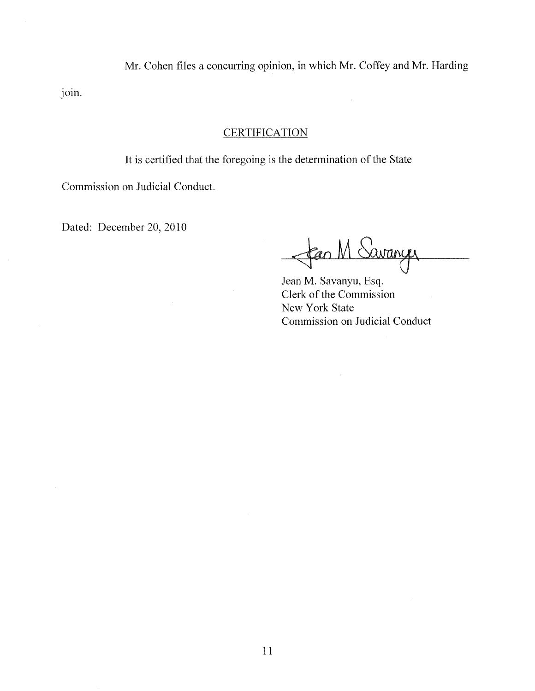Mr. Cohen files a concurring opinion, in which Mr. Coffey and Mr. Harding

join.

## **CERTIFICATION**

It is certified that the foregoing is the determination of the State

Commission on Judicial Conduct.

 $\bar{z}$ 

Dated: December 20, 2010

fan M Savany

Jean M. Savanyu, Esq. Clerk of the Commission New York State Commission on Judicial Conduct

 $\hat{\boldsymbol{\beta}}$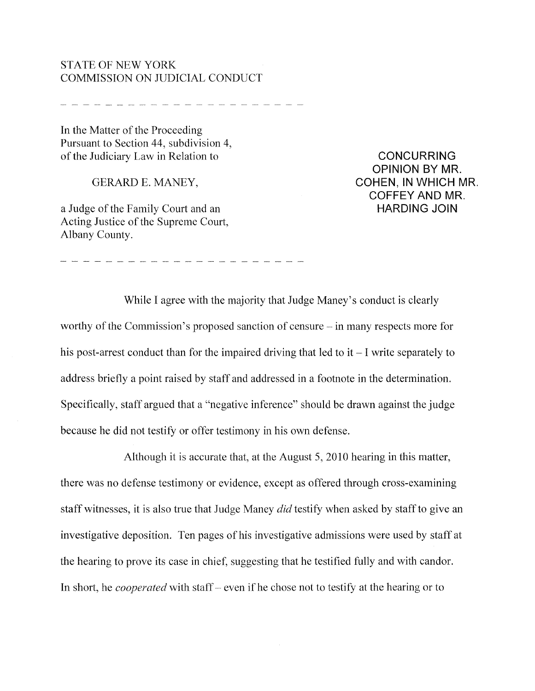### STATE OF NEW YORK COMMISSION ON JUDICIAL CONDUCT

.<br>In the most new way was the top and the seat the theory and the theory they was the same was the same was the

In the Matter of the Proceeding Pursuant to Section 44, subdivision 4, of the Judiciary Law in Relation to

GERARD E. MANEY,

a Judge of the Family Court and an Acting Justice of the Supreme Court, Albany County.

CONCURRING OPINION BY MR. COHEN, IN WHICH MR. COFFEY AND MR. HARDING JOIN

While I agree with the majority that Judge Maney's conduct is clearly worthy of the Commission's proposed sanction of censure  $-\text{in}$  many respects more for his post-arrest conduct than for the impaired driving that led to  $it - I$  write separately to address briefly a point raised by staff and addressed in a footnote in the determination. Specifically, staff argued that a "negative inference" should be drawn against the judge because he did not testify or offer testimony in his own defense.

Although it is accurate that, at the August 5, 2010 hearing in this matter, there was no defense testimony or evidence, except as offered through cross-examining staff witnesses, it is also true that Judge Maney *did* testify when asked by staffto give an investigative deposition. Ten pages of his investigative admissions were used by staff at the hearing to prove its case in chief, suggesting that he testified fully and with candor. In short, he *cooperated* with staff- even if he chose not to testify at the hearing or to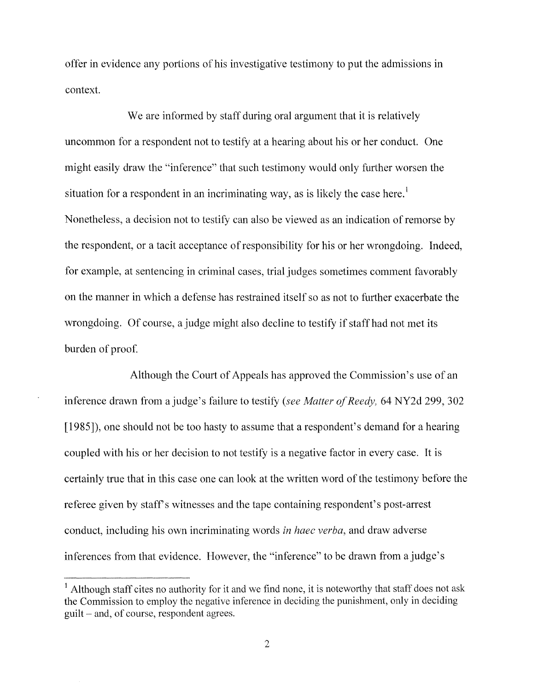offer in evidence any portions of his investigative testimony to put the admissions in context.

We are informed by staff during oral argument that it is relatively uncommon for a respondent not to testify at a hearing about his or her conduct. One might easily draw the "inference" that such testimony would only further worsen the situation for a respondent in an incriminating way, as is likely the case here.<sup>1</sup> Nonetheless, a decision not to testify can also be viewed as an indication of remorse by the respondent, or a tacit acceptance of responsibility for his or her wrongdoing. Indeed, for example, at sentencing in criminal cases, trial judges sometimes comment favorably on the manner in which a defense has restrained itselfso as not to further exacerbate the wrongdoing. Of course, a judge might also decline to testify if staff had not met its burden of proof.

Although the Court of Appeals has approved the Commission's use of an inference drawn from a judge's failure to testify *(see Matter of Reedy, 64 NY2d 299, 302)* [1985]), one should not be too hasty to assume that a respondent's demand for a hearing coupled with his or her decision to not testify is a negative factor in every case. It is certainly true that in this case one can look at the written word of the testimony before the referee given by staff's witnesses and the tape containing respondent's post-arrest conduct, including his own incriminating words *in haec verba,* and draw adverse inferences from that evidence. However, the "inference" to be drawn from ajudge's

<sup>&</sup>lt;sup>1</sup> Although staff cites no authority for it and we find none, it is noteworthy that staff does not ask the Commission to employ the negative inference in deciding the punishment, only in deciding guilt - and, of course, respondent agrees.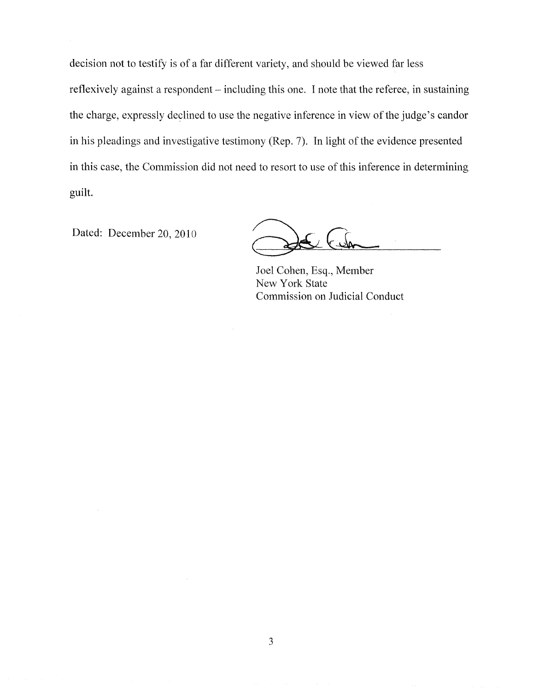decision not to testify is of a far different variety, and should be viewed far less reflexively against a respondent – including this one. I note that the referee, in sustaining the charge, expressly declined to use the negative inference in view of the judge's candor in his pleadings and investigative testimony (Rep. 7). In light of the evidence presented in this case, the Commission did not need to resort to use of this inference in determining guilt.

Dated: December 20, 2010

Joel Cohen, Esq., Member New York State Commission on Judicial Conduct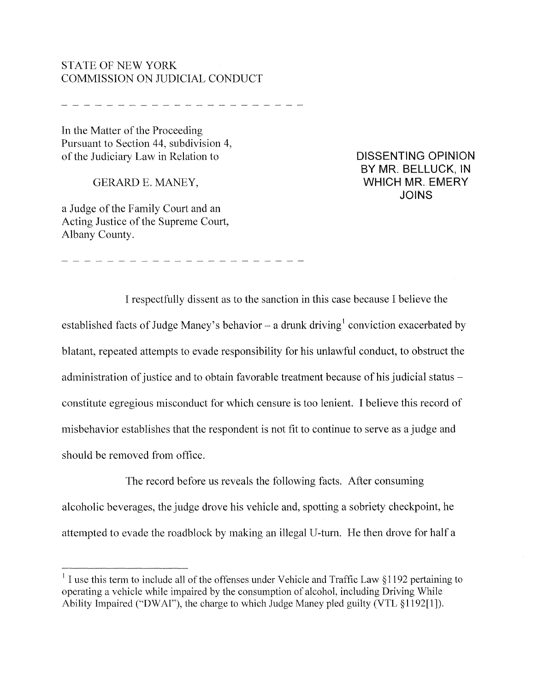## STATE OF NEW YORK COMMISSION ON JUDICIAL CONDUCT

In the Matter of the Proceeding Pursuant to Section 44, subdivision 4, of the Judiciary Law in Relation to

GERARD E. MANEY,

a Judge of the Family Court and an Acting Justice of the Supreme Court, Albany County.

DISSENTING OPINION BY MR. BELLUCK, IN WHICH MR. EMERY JOINS

I respectfully dissent as to the sanction in this case because I believe the established facts of Judge Maney's behavior – a drunk driving conviction exacerbated by blatant, repeated attempts to evade responsibility for his unlawful conduct, to obstruct the administration of justice and to obtain favorable treatment because of his judicial status constitute egregious misconduct for which censure is too lenient. I believe this record of misbehavior establishes that the respondent is not fit to continue to serve as a judge and should be removed from office.

The record before us reveals the following facts. After consuming alcoholic beverages, the judge drove his vehicle and, spotting a sobriety checkpoint, he attempted to evade the roadblock by making an illegal U-turn. He then drove for half a

 $1$  I use this term to include all of the offenses under Vehicle and Traffic Law  $\S$ 1192 pertaining to operating a vehicle while impaired by the consumption of alcohol, including Driving While Ability Impaired ("DWAI"), the charge to which Judge Maney pled guilty (VTL §1192[1]).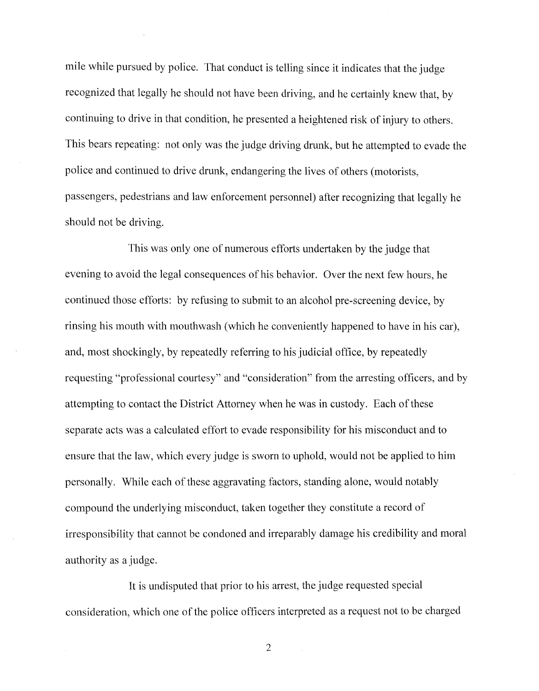mile while pursued by police. That conduct is telling since it indicates that the judge recognized that legally he should not have been driving, and he certainly knew that, by continuing to drive in that condition, he presented a heightened risk of injury to others. This bears repeating: not only was the judge driving drunk, but he attempted to evade the police and continued to drive drunk, endangering the lives of others (motorists, passengers, pedestrians and law enforcement personnel) after recognizing that legally he should not be driving.

This was only one of numerous efforts undertaken by the judge that evening to avoid the legal consequences of his behavior. Over the next few hours, he continued those efforts: by refusing to submit to an alcohol pre-screening device, by rinsing his mouth with mouthwash (which he conveniently happened to have in his car), and, most shockingly, by repeatedly referring to his judicial office, by repeatedly requesting "professional courtesy" and "consideration" from the arresting officers, and by attempting to contact the District Attorney when he was in custody. Each of these separate acts was a calculated effort to evade responsibility for his misconduct and to ensure that the law, which every judge is sworn to uphold, would not be applied to him personally. While each of these aggravating factors, standing alone, would notably compound the underlying misconduct, taken together they constitute a record of irresponsibility that cannot be condoned and irreparably damage his credibility and moral authority as a judge.

It is undisputed that prior to his arrest, the judge requested special consideration, which one of the police officers interpreted as a request not to be charged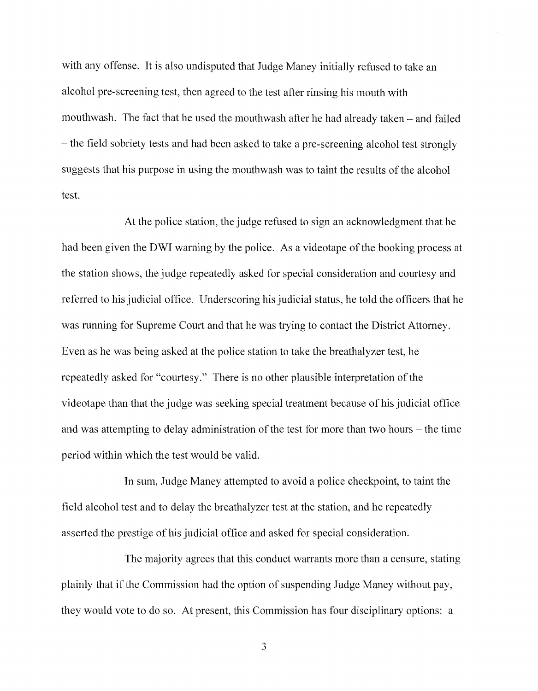with any offense. It is also undisputed that Judge Maney initially refused to take an alcohol pre-screening test, then agreed to the test after rinsing his mouth with mouthwash. The fact that he used the mouthwash after he had already taken  $-$  and failed - the field sobriety tests and had been asked to take a pre-screening alcohol test strongly suggests that his purpose in using the mouthwash was to taint the results of the alcohol test.

At the police station, the judge refused to sign an acknowledgment that he had been given the DWI warning by the police. As a videotape of the booking process at the station shows, the judge repeatedly asked for special consideration and courtesy and referred to his judicial office. Underscoring his judicial status, he told the officers that he was running for Supreme Court and that he was trying to contact the District Attorney. Even as he was being asked at the police station to take the breathalyzer test, he repeatedly asked for "courtesy." There is no other plausible interpretation of the videotape than that the judge was seeking special treatment because of his judicial office and was attempting to delay administration of the test for more than two hours – the time period within which the test would be valid.

In sum, Judge Maney attempted to avoid a police checkpoint, to taint the field alcohol test and to delay the breathalyzer test at the station, and he repeatedly asserted the prestige of his judicial office and asked for special consideration.

The majority agrees that this conduct warrants more than a censure, stating plainly that if the Commission had the option of suspending Judge Maney without pay, they would vote to do so. At present, this Commission has four disciplinary options: a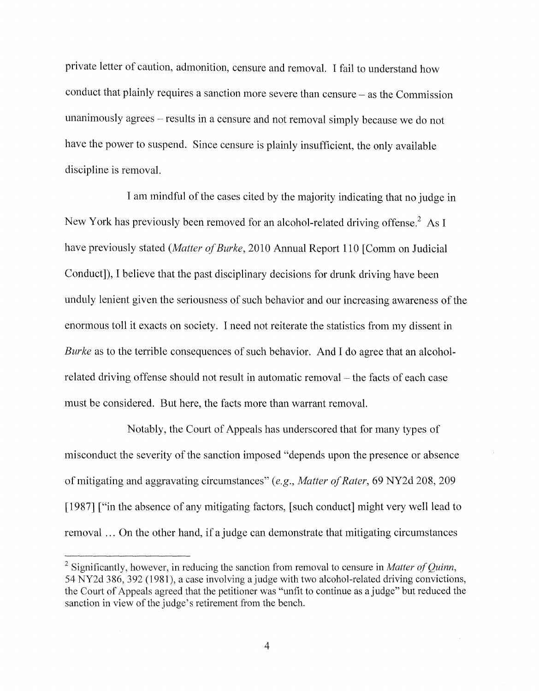private letter of caution, admonition, censure and removal. I fail to understand how conduct that plainly requires a sanction more severe than censure - as the Commission unanimously agrees – results in a censure and not removal simply because we do not have the power to suspend. Since censure is plainly insufficient, the only available discipline is removal.

I am mindful of the cases cited by the majority indicating that no judge in New York has previously been removed for an alcohol-related driving offense.<sup>2</sup> As I have previously stated *(Matter of Burke, 2010 Annual Report 110 [Comm on Judicial* Conduct]), I believe that the past disciplinary decisions for drunk driving have been unduly lenient given the seriousness of such behavior and our increasing awareness of the enormous toll it exacts on society. I need not reiterate the statistics from my dissent in *Burke* as to the terrible consequences of such behavior. And I do agree that an alcoholrelated driving offense should not result in automatic removal- the facts of each case must be considered. But here, the facts more than warrant removal.

Notably, the Court of Appeals has underscored that for many types of misconduct the severity of the sanction imposed "depends upon the presence or absence" of mitigating and aggravating circumstances" *(e.g., Matter ofRater,* 69 NY2d 208, 209 [1987] ["in the absence of any mitigating factors, [such conduct] might very well lead to removal ... On the other hand, if a judge can demonstrate that mitigating circumstances

<sup>&</sup>lt;sup>2</sup> Significantly, however, in reducing the sanction from removal to censure in *Matter of Quinn*, 54 NY2d 386,392 (1981), a case involving a judge with two alcohol-related driving convictions, the Court of Appeals agreed that the petitioner was "unfit to continue as a judge" but reduced the sanction in view of the judge's retirement from the bench.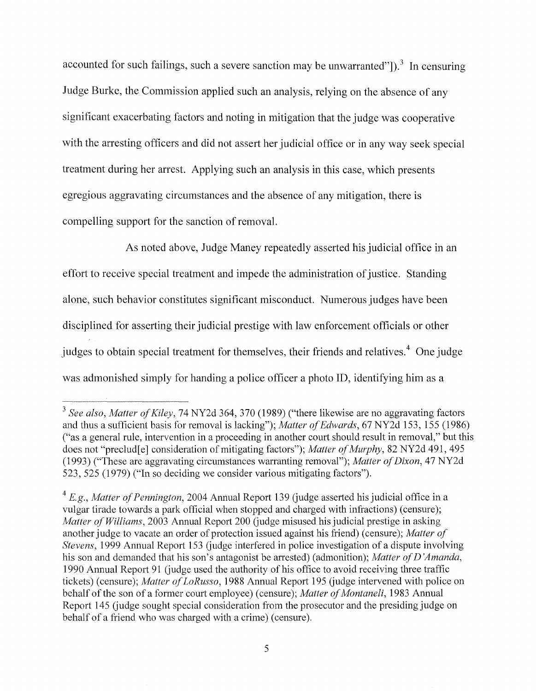accounted for such failings, such a severe sanction may be unwarranted" $]$ ).<sup>3</sup> In censuring Judge Burke, the Commission applied such an analysis, relying on the absence of any significant exacerbating factors and noting in mitigation that the judge was cooperative with the arresting officers and did not assert her judicial office or in any way seek special treatment during her arrest. Applying such an analysis in this case, which presents egregious aggravating circumstances and the absence of any mitigation, there is compelling support for the sanction of removal.

As noted above, Judge Maney repeatedly asserted his judicial office in an effort to receive special treatment and impede the administration of justice. Standing alone, such behavior constitutes significant misconduct. Numerous judges have been disciplined for asserting their judicial prestige with law enforcement officials or other judges to obtain special treatment for themselves, their friends and relatives.<sup>4</sup> One judge was admonished simply for handing a police officer a photo ID, identifying him as a

<sup>&</sup>lt;sup>3</sup> See also, Matter of Kiley, 74 NY2d 364, 370 (1989) ("there likewise are no aggravating factors and thus a sufficient basis for removal is lacking"); *Matter of Edwards*, 67 NY2d 153, 155 (1986) ("as a general rule, intervention in a proceeding in another court should result in removal," but this does not "preclud<sup>[e]</sup> consideration of mitigating factors"); *Matter of Murphy*, 82 NY2d 491, 495 (1993) ("These are aggravating circumstances warranting removal"); *Matter ofDixon,* 47 NY2d 523,525 (1979) ("In so deciding we consider various mitigating factors").

<sup>&</sup>lt;sup>4</sup> E.g., Matter of Pennington, 2004 Annual Report 139 (judge asserted his judicial office in a vulgar tirade towards a park official when stopped and charged with infractions) (censure); *Matter of Williams,* 2003 Annual Report 200 (judge misused his judicial prestige in asking another judge to vacate an order of protection issued against his friend) (censure); Matter of *Stevens*, 1999 Annual Report 153 (judge interfered in police investigation of a dispute involving his son and demanded that his son's antagonist be arrested) (admonition); *Matter ofD 'Amanda,* 1990 Annual Report 91 (judge used the authority of his office to avoid receiving three traffic tickets) (censure); *Matter of LoRusso*, 1988 Annual Report 195 (judge intervened with police on behalf of the son of a former court employee) (censure); *Matter of Montaneli*, 1983 Annual Report 145 (judge sought special consideration from the prosecutor and the presiding judge on behalf of a friend who was charged with a crime) (censure).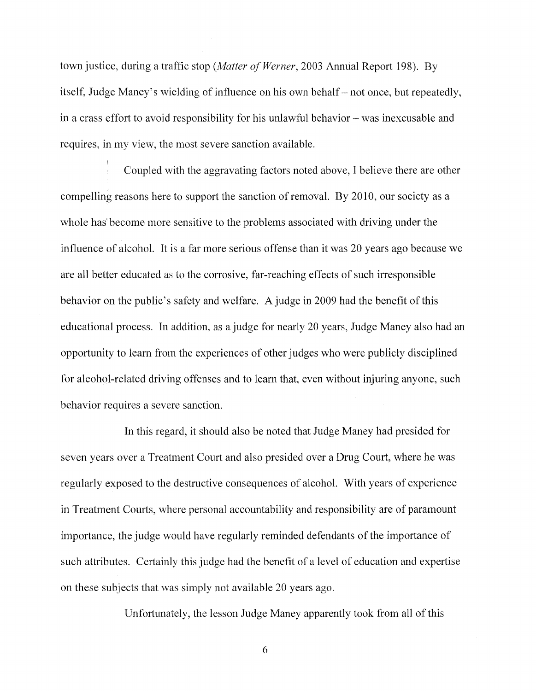town justice, during a traffic stop *(Matter of Werner*, 2003 Annual Report 198). By itself, Judge Maney's wielding of influence on his own behalf – not once, but repeatedly, in a crass effort to avoid responsibility for his unlawful behavior – was inexcusable and requires, in my view, the most severe sanction available.

Coupled with the aggravating factors noted above, I believe there are other compelling reasons here to support the sanction of removal. By 2010, our society as a whole has become more sensitive to the problems associated with driving under the influence of alcohol. It is a far more serious offense than it was 20 years ago because we are all better educated as to the corrosive, far-reaching effects of such irresponsible behavior on the public's safety and welfare. A judge in 2009 had the benefit of this educational process. In addition, as a judge for nearly 20 years, Judge Maney also had an opportunity to learn from the experiences of other judges who were publicly disciplined for alcohol-related driving offenses and to learn that, even without injuring anyone, such behavior requires a severe sanction.

In this regard, it should also be noted that Judge Maney had presided for seven years over a Treatment Court and also presided over a Drug Court, where he was regularly exposed to the destructive consequences of alcohol. With years of experience in Treatment Courts, where personal accountability and responsibility are of paramount importance, the judge would have regularly reminded defendants of the importance of such attributes. Certainly this judge had the benefit of a level of education and expertise on these subjects that was simply not available 20 years ago.

Unfortunately, the lesson Judge Maney apparently took from all of this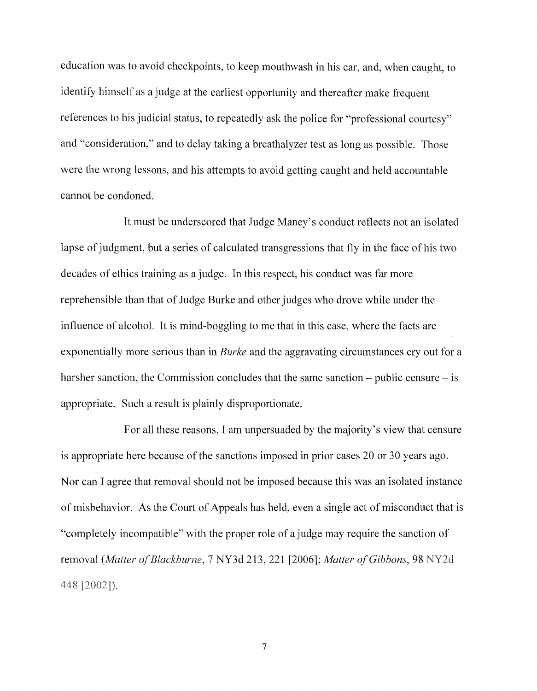education was to avoid checkpoints, to keep mouthwash in his car, and, when caught, to identify himself as a judge at the earliest opportunity and thereafter make frequent references to his judicial status, to repeatedly ask the police for "professional courtesy" and "consideration," and to delay taking a breathalyzer test as long as possible. Those were the wrong lessons, and his attempts to avoid getting caught and held accountable cannot be condoned.

It must be underscored that Judge Maney's conduct reflects not an isolated lapse of judgment, but a series of calculated transgressions that fly in the face of his two decades of ethics training as a judge. In this respect, his conduct was far more reprehensible than that of Judge Burke and other judges who drove while under the influence of alcohol. It is mind-boggling to me that in this case, where the facts are exponentially more serious than in *Burke* and the aggravating circumstances cry out for a harsher sanction, the Commission concludes that the same sanction  $-$  public censure  $-$  is appropriate. Such a result is plainly disproportionate.

For all these reasons, I am unpersuaded by the majority's view that censure is appropriate here because of the sanctions imposed in prior cases 20 or 30 years ago. Nor can I agree that removal should not be imposed because this was an isolated instance of misbehavior. As the Court of Appeals has held, even a single act of misconduct that is "completely incompatible" with the proper role of a judge may require the sanction of removal *(Matter of Blackburne, 7 NY3d 213, 221 [2006]; Matter of Gibbons, 98 NY2d* 448 [2002]).